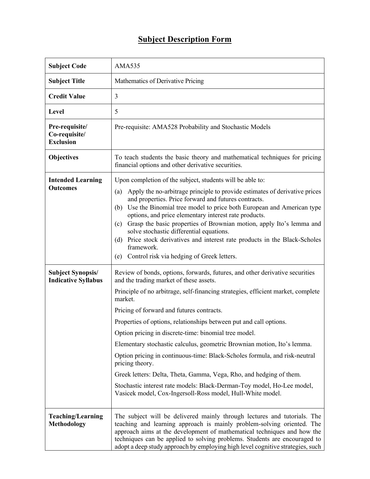## **Subject Description Form**

| <b>Subject Code</b>                                    | <b>AMA535</b>                                                                                                                                                                                                                                                                                                                                                                                                                                                                                                                                                                                                                                                                                                                                                                                 |
|--------------------------------------------------------|-----------------------------------------------------------------------------------------------------------------------------------------------------------------------------------------------------------------------------------------------------------------------------------------------------------------------------------------------------------------------------------------------------------------------------------------------------------------------------------------------------------------------------------------------------------------------------------------------------------------------------------------------------------------------------------------------------------------------------------------------------------------------------------------------|
| <b>Subject Title</b>                                   | Mathematics of Derivative Pricing                                                                                                                                                                                                                                                                                                                                                                                                                                                                                                                                                                                                                                                                                                                                                             |
| <b>Credit Value</b>                                    | 3                                                                                                                                                                                                                                                                                                                                                                                                                                                                                                                                                                                                                                                                                                                                                                                             |
| Level                                                  | 5                                                                                                                                                                                                                                                                                                                                                                                                                                                                                                                                                                                                                                                                                                                                                                                             |
| Pre-requisite/<br>Co-requisite/<br><b>Exclusion</b>    | Pre-requisite: AMA528 Probability and Stochastic Models                                                                                                                                                                                                                                                                                                                                                                                                                                                                                                                                                                                                                                                                                                                                       |
| <b>Objectives</b>                                      | To teach students the basic theory and mathematical techniques for pricing<br>financial options and other derivative securities.                                                                                                                                                                                                                                                                                                                                                                                                                                                                                                                                                                                                                                                              |
| <b>Intended Learning</b><br><b>Outcomes</b>            | Upon completion of the subject, students will be able to:<br>Apply the no-arbitrage principle to provide estimates of derivative prices<br>(a)<br>and properties. Price forward and futures contracts.<br>Use the Binomial tree model to price both European and American type<br>(b)<br>options, and price elementary interest rate products.<br>Grasp the basic properties of Brownian motion, apply Ito's lemma and<br>(c)<br>solve stochastic differential equations.<br>Price stock derivatives and interest rate products in the Black-Scholes<br>(d)<br>framework.<br>(e) Control risk via hedging of Greek letters.                                                                                                                                                                   |
| <b>Subject Synopsis/</b><br><b>Indicative Syllabus</b> | Review of bonds, options, forwards, futures, and other derivative securities<br>and the trading market of these assets.<br>Principle of no arbitrage, self-financing strategies, efficient market, complete<br>market.<br>Pricing of forward and futures contracts.<br>Properties of options, relationships between put and call options.<br>Option pricing in discrete-time: binomial tree model.<br>Elementary stochastic calculus, geometric Brownian motion, Ito's lemma.<br>Option pricing in continuous-time: Black-Scholes formula, and risk-neutral<br>pricing theory.<br>Greek letters: Delta, Theta, Gamma, Vega, Rho, and hedging of them.<br>Stochastic interest rate models: Black-Derman-Toy model, Ho-Lee model,<br>Vasicek model, Cox-Ingersoll-Ross model, Hull-White model. |
| <b>Teaching/Learning</b><br><b>Methodology</b>         | The subject will be delivered mainly through lectures and tutorials. The<br>teaching and learning approach is mainly problem-solving oriented. The<br>approach aims at the development of mathematical techniques and how the<br>techniques can be applied to solving problems. Students are encouraged to<br>adopt a deep study approach by employing high level cognitive strategies, such                                                                                                                                                                                                                                                                                                                                                                                                  |